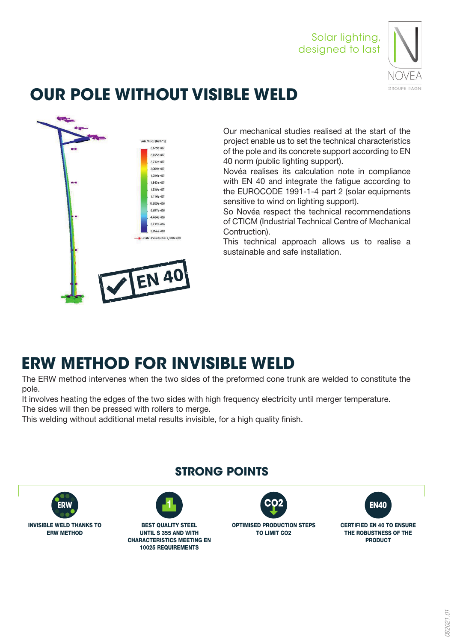Solar lighting, designed to last



# **OUR POLE WITHOUT VISIBLE WELD**



Our mechanical studies realised at the start of the project enable us to set the technical characteristics of the pole and its concrete support according to EN 40 norm (public lighting support).

Novéa realises its calculation note in compliance with EN 40 and integrate the fatigue according to the EUROCODE 1991-1-4 part 2 (solar equipments sensitive to wind on lighting support).

So Novéa respect the technical recommendations of CTICM (Industrial Technical Centre of Mechanical Contruction).

This technical approach allows us to realise a sustainable and safe installation.

# **ERW METHOD FOR INVISIBLE WELD**

The ERW method intervenes when the two sides of the preformed cone trunk are welded to constitute the pole.

It involves heating the edges of the two sides with high frequency electricity until merger temperature.

The sides will then be pressed with rollers to merge.

This welding without additional metal results invisible, for a high quality finish.



## **STRONG POINTS**